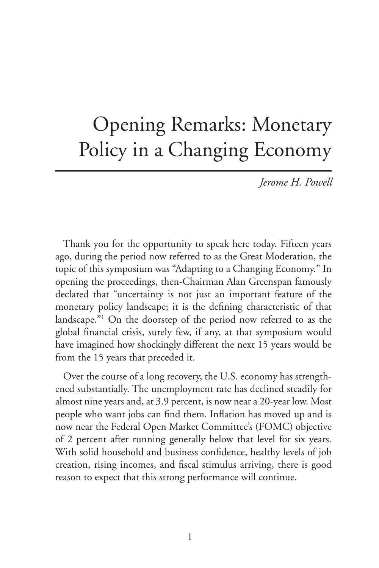# Opening Remarks: Monetary Policy in a Changing Economy

*Jerome H. Powell*

Thank you for the opportunity to speak here today. Fifteen years ago, during the period now referred to as the Great Moderation, the topic of this symposium was "Adapting to a Changing Economy." In opening the proceedings, then-Chairman Alan Greenspan famously declared that "uncertainty is not just an important feature of the monetary policy landscape; it is the defining characteristic of that landscape."1 On the doorstep of the period now referred to as the global financial crisis, surely few, if any, at that symposium would have imagined how shockingly different the next 15 years would be from the 15 years that preceded it.

Over the course of a long recovery, the U.S. economy has strengthened substantially. The unemployment rate has declined steadily for almost nine years and, at 3.9 percent, is now near a 20-year low. Most people who want jobs can find them. Inflation has moved up and is now near the Federal Open Market Committee's (FOMC) objective of 2 percent after running generally below that level for six years. With solid household and business confidence, healthy levels of job creation, rising incomes, and fiscal stimulus arriving, there is good reason to expect that this strong performance will continue.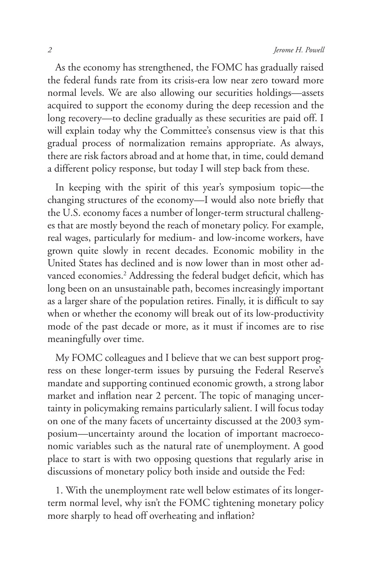As the economy has strengthened, the FOMC has gradually raised the federal funds rate from its crisis-era low near zero toward more normal levels. We are also allowing our securities holdings—assets acquired to support the economy during the deep recession and the long recovery—to decline gradually as these securities are paid off. I will explain today why the Committee's consensus view is that this gradual process of normalization remains appropriate. As always, there are risk factors abroad and at home that, in time, could demand a different policy response, but today I will step back from these.

In keeping with the spirit of this year's symposium topic—the changing structures of the economy—I would also note briefly that the U.S. economy faces a number of longer-term structural challenges that are mostly beyond the reach of monetary policy. For example, real wages, particularly for medium- and low-income workers, have grown quite slowly in recent decades. Economic mobility in the United States has declined and is now lower than in most other advanced economies.<sup>2</sup> Addressing the federal budget deficit, which has long been on an unsustainable path, becomes increasingly important as a larger share of the population retires. Finally, it is difficult to say when or whether the economy will break out of its low-productivity mode of the past decade or more, as it must if incomes are to rise meaningfully over time.

My FOMC colleagues and I believe that we can best support progress on these longer-term issues by pursuing the Federal Reserve's mandate and supporting continued economic growth, a strong labor market and inflation near 2 percent. The topic of managing uncertainty in policymaking remains particularly salient. I will focus today on one of the many facets of uncertainty discussed at the 2003 symposium—uncertainty around the location of important macroeconomic variables such as the natural rate of unemployment. A good place to start is with two opposing questions that regularly arise in discussions of monetary policy both inside and outside the Fed:

1. With the unemployment rate well below estimates of its longerterm normal level, why isn't the FOMC tightening monetary policy more sharply to head off overheating and inflation?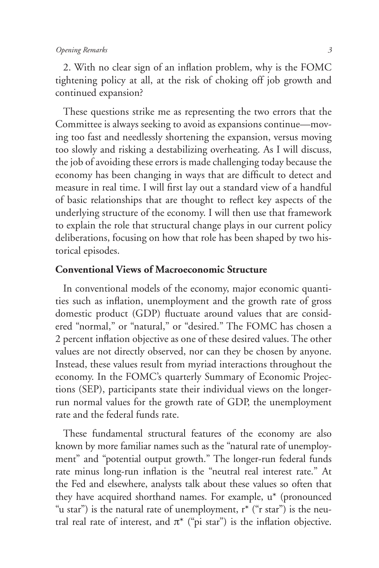#### *Opening Remarks 3*

2. With no clear sign of an inflation problem, why is the FOMC tightening policy at all, at the risk of choking off job growth and continued expansion?

These questions strike me as representing the two errors that the Committee is always seeking to avoid as expansions continue—moving too fast and needlessly shortening the expansion, versus moving too slowly and risking a destabilizing overheating. As I will discuss, the job of avoiding these errors is made challenging today because the economy has been changing in ways that are difficult to detect and measure in real time. I will first lay out a standard view of a handful of basic relationships that are thought to reflect key aspects of the underlying structure of the economy. I will then use that framework to explain the role that structural change plays in our current policy deliberations, focusing on how that role has been shaped by two historical episodes.

#### **Conventional Views of Macroeconomic Structure**

In conventional models of the economy, major economic quantities such as inflation, unemployment and the growth rate of gross domestic product (GDP) fluctuate around values that are considered "normal," or "natural," or "desired." The FOMC has chosen a 2 percent inflation objective as one of these desired values. The other values are not directly observed, nor can they be chosen by anyone. Instead, these values result from myriad interactions throughout the economy. In the FOMC's quarterly Summary of Economic Projections (SEP), participants state their individual views on the longerrun normal values for the growth rate of GDP, the unemployment rate and the federal funds rate.

These fundamental structural features of the economy are also known by more familiar names such as the "natural rate of unemployment" and "potential output growth." The longer-run federal funds rate minus long-run inflation is the "neutral real interest rate." At the Fed and elsewhere, analysts talk about these values so often that they have acquired shorthand names. For example, u\* (pronounced "u star") is the natural rate of unemployment,  $r^*$  ("r star") is the neutral real rate of interest, and  $\pi^*$  ("pi star") is the inflation objective.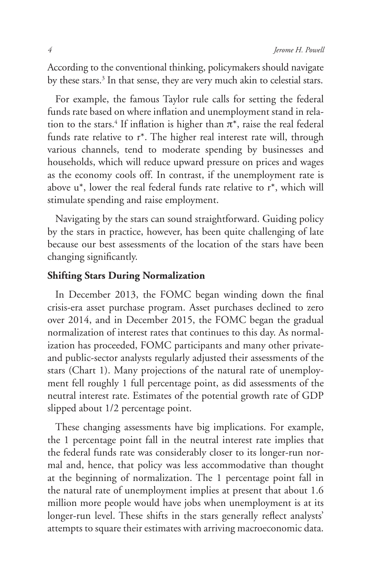According to the conventional thinking, policymakers should navigate by these stars.<sup>3</sup> In that sense, they are very much akin to celestial stars.

For example, the famous Taylor rule calls for setting the federal funds rate based on where inflation and unemployment stand in relation to the stars.<sup>4</sup> If inflation is higher than  $\pi^*$ , raise the real federal funds rate relative to r\*. The higher real interest rate will, through various channels, tend to moderate spending by businesses and households, which will reduce upward pressure on prices and wages as the economy cools off. In contrast, if the unemployment rate is above u\*, lower the real federal funds rate relative to r\*, which will stimulate spending and raise employment.

Navigating by the stars can sound straightforward. Guiding policy by the stars in practice, however, has been quite challenging of late because our best assessments of the location of the stars have been changing significantly.

# **Shifting Stars During Normalization**

In December 2013, the FOMC began winding down the final crisis-era asset purchase program. Asset purchases declined to zero over 2014, and in December 2015, the FOMC began the gradual normalization of interest rates that continues to this day. As normalization has proceeded, FOMC participants and many other privateand public-sector analysts regularly adjusted their assessments of the stars (Chart 1). Many projections of the natural rate of unemployment fell roughly 1 full percentage point, as did assessments of the neutral interest rate. Estimates of the potential growth rate of GDP slipped about 1/2 percentage point.

These changing assessments have big implications. For example, the 1 percentage point fall in the neutral interest rate implies that the federal funds rate was considerably closer to its longer-run normal and, hence, that policy was less accommodative than thought at the beginning of normalization. The 1 percentage point fall in the natural rate of unemployment implies at present that about 1.6 million more people would have jobs when unemployment is at its longer-run level. These shifts in the stars generally reflect analysts' attempts to square their estimates with arriving macroeconomic data.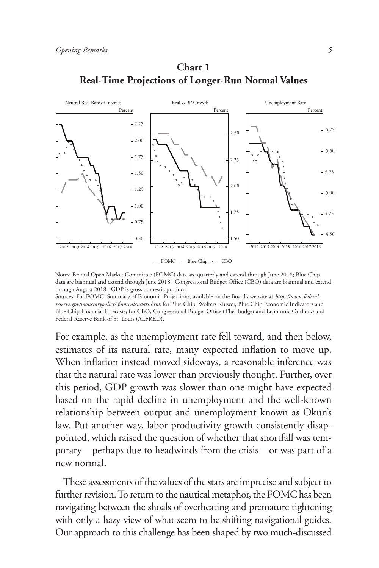



Notes: Federal Open Market Committee (FOMC) data are quarterly and extend through June 2018; Blue Chip data are biannual and extend through June 2018; Congressional Budget Office (CBO) data are biannual and extend through August 2018. GDP is gross domestic product.

Sources: For FOMC, Summary of Economic Projections, available on the Board's website at *https://www.federalreserve.gov/monetarypolicy/ fomccalendars.htm*; for Blue Chip, Wolters Kluwer, Blue Chip Economic Indicators and Blue Chip Financial Forecasts; for CBO, Congressional Budget Office (The Budget and Economic Outlook) and Federal Reserve Bank of St. Louis (ALFRED).

For example, as the unemployment rate fell toward, and then below, estimates of its natural rate, many expected inflation to move up. When inflation instead moved sideways, a reasonable inference was that the natural rate was lower than previously thought. Further, over this period, GDP growth was slower than one might have expected based on the rapid decline in unemployment and the well-known relationship between output and unemployment known as Okun's law. Put another way, labor productivity growth consistently disappointed, which raised the question of whether that shortfall was temporary—perhaps due to headwinds from the crisis—or was part of a new normal.

These assessments of the values of the stars are imprecise and subject to further revision. To return to the nautical metaphor, the FOMC has been navigating between the shoals of overheating and premature tightening with only a hazy view of what seem to be shifting navigational guides. Our approach to this challenge has been shaped by two much-discussed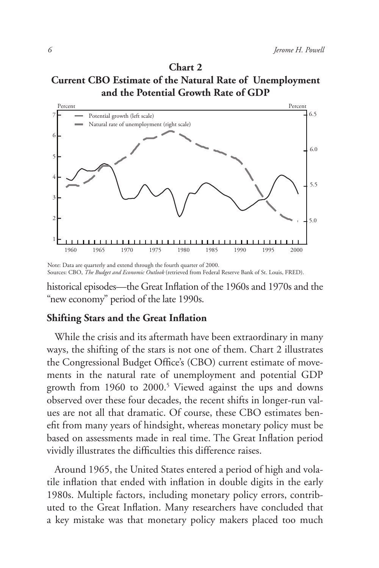**Chart 2 Current CBO Estimate of the Natural Rate of Unemployment and the Potential Growth Rate of GDP**



Note: Data are quarterly and extend through the fourth quarter of 2000. Sources: CBO, *The Budget and Economic Outlook* (retrieved from Federal Reserve Bank of St. Louis, FRED).

historical episodes—the Great Inflation of the 1960s and 1970s and the "new economy" period of the late 1990s.

### **Shifting Stars and the Great Inflation**

While the crisis and its aftermath have been extraordinary in many ways, the shifting of the stars is not one of them. Chart 2 illustrates the Congressional Budget Office's (CBO) current estimate of movements in the natural rate of unemployment and potential GDP growth from 1960 to 2000.<sup>5</sup> Viewed against the ups and downs observed over these four decades, the recent shifts in longer-run values are not all that dramatic. Of course, these CBO estimates benefit from many years of hindsight, whereas monetary policy must be based on assessments made in real time. The Great Inflation period vividly illustrates the difficulties this difference raises.

Around 1965, the United States entered a period of high and volatile inflation that ended with inflation in double digits in the early 1980s. Multiple factors, including monetary policy errors, contributed to the Great Inflation. Many researchers have concluded that a key mistake was that monetary policy makers placed too much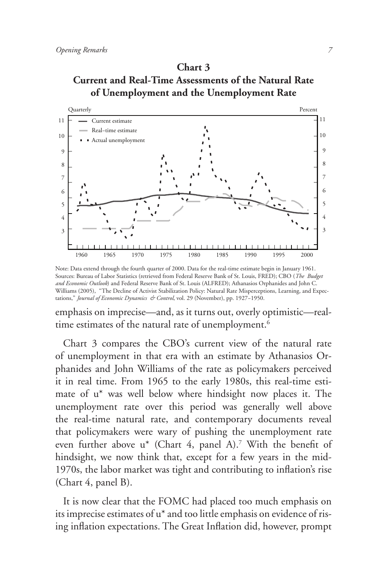# **Chart 3 Current and Real-Time Assessments of the Natural Rate of Unemployment and the Unemployment Rate**



Note: Data extend through the fourth quarter of 2000. Data for the real-time estimate begin in January 1961. Sources: Bureau of Labor Statistics (retrieved from Federal Reserve Bank of St. Louis, FRED); CBO (*The Budget and Economic Outlook*) and Federal Reserve Bank of St. Louis (ALFRED); Athanasios Orphanides and John C. Williams (2005), ''The Decline of Activist Stabilization Policy: Natural Rate Misperceptions, Learning, and Expectations," *Journal of Economic Dynamics & Control*, vol. 29 (November), pp. 1927−1950.

emphasis on imprecise—and, as it turns out, overly optimistic—realtime estimates of the natural rate of unemployment.<sup>6</sup>

Chart 3 compares the CBO's current view of the natural rate of unemployment in that era with an estimate by Athanasios Orphanides and John Williams of the rate as policymakers perceived it in real time. From 1965 to the early 1980s, this real-time estimate of u\* was well below where hindsight now places it. The unemployment rate over this period was generally well above the real-time natural rate, and contemporary documents reveal that policymakers were wary of pushing the unemployment rate even further above u<sup>\*</sup> (Chart 4, panel A).<sup>7</sup> With the benefit of hindsight, we now think that, except for a few years in the mid-1970s, the labor market was tight and contributing to inflation's rise (Chart 4, panel B).

It is now clear that the FOMC had placed too much emphasis on its imprecise estimates of u\* and too little emphasis on evidence of rising inflation expectations. The Great Inflation did, however, prompt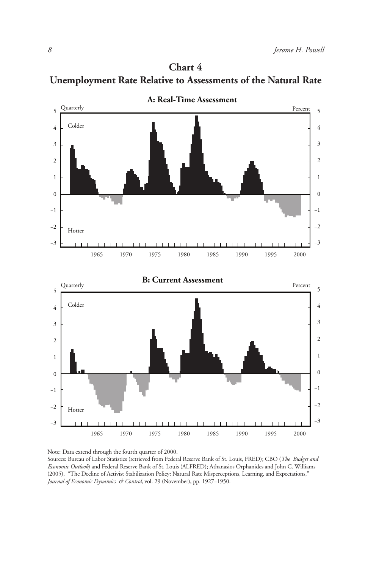



Note: Data extend through the fourth quarter of 2000. Sources: Bureau of Labor Statistics (retrieved from Federal Reserve Bank of St. Louis, FRED); CBO (*The Budget and Economic Outlook*) and Federal Reserve Bank of St. Louis (ALFRED); Athanasios Orphanides and John C. Williams (2005), ''The Decline of Activist Stabilization Policy: Natural Rate Misperceptions, Learning, and Expectations," *Journal of Economic Dynamics & Control*, vol. 29 (November), pp. 1927−1950.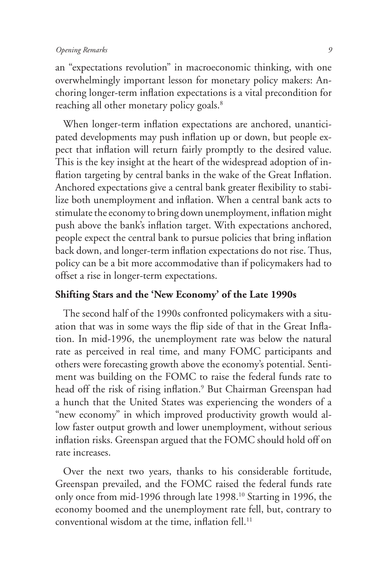an "expectations revolution" in macroeconomic thinking, with one overwhelmingly important lesson for monetary policy makers: Anchoring longer-term inflation expectations is a vital precondition for reaching all other monetary policy goals.<sup>8</sup>

When longer-term inflation expectations are anchored, unanticipated developments may push inflation up or down, but people expect that inflation will return fairly promptly to the desired value. This is the key insight at the heart of the widespread adoption of inflation targeting by central banks in the wake of the Great Inflation. Anchored expectations give a central bank greater flexibility to stabilize both unemployment and inflation. When a central bank acts to stimulate the economy to bring down unemployment, inflation might push above the bank's inflation target. With expectations anchored, people expect the central bank to pursue policies that bring inflation back down, and longer-term inflation expectations do not rise. Thus, policy can be a bit more accommodative than if policymakers had to offset a rise in longer-term expectations.

## **Shifting Stars and the 'New Economy' of the Late 1990s**

The second half of the 1990s confronted policymakers with a situation that was in some ways the flip side of that in the Great Inflation. In mid-1996, the unemployment rate was below the natural rate as perceived in real time, and many FOMC participants and others were forecasting growth above the economy's potential. Sentiment was building on the FOMC to raise the federal funds rate to head off the risk of rising inflation.<sup>9</sup> But Chairman Greenspan had a hunch that the United States was experiencing the wonders of a "new economy" in which improved productivity growth would allow faster output growth and lower unemployment, without serious inflation risks. Greenspan argued that the FOMC should hold off on rate increases.

Over the next two years, thanks to his considerable fortitude, Greenspan prevailed, and the FOMC raised the federal funds rate only once from mid-1996 through late 1998.10 Starting in 1996, the economy boomed and the unemployment rate fell, but, contrary to conventional wisdom at the time, inflation fell. $^{11}$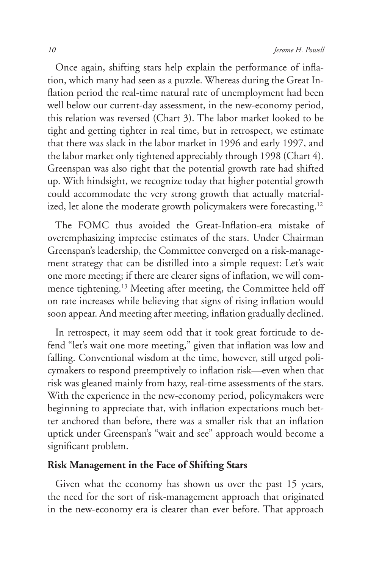Once again, shifting stars help explain the performance of inflation, which many had seen as a puzzle. Whereas during the Great Inflation period the real-time natural rate of unemployment had been well below our current-day assessment, in the new-economy period, this relation was reversed (Chart 3). The labor market looked to be tight and getting tighter in real time, but in retrospect, we estimate that there was slack in the labor market in 1996 and early 1997, and the labor market only tightened appreciably through 1998 (Chart 4). Greenspan was also right that the potential growth rate had shifted up. With hindsight, we recognize today that higher potential growth could accommodate the very strong growth that actually materialized, let alone the moderate growth policymakers were forecasting.<sup>12</sup>

The FOMC thus avoided the Great-Inflation-era mistake of overemphasizing imprecise estimates of the stars. Under Chairman Greenspan's leadership, the Committee converged on a risk-management strategy that can be distilled into a simple request: Let's wait one more meeting; if there are clearer signs of inflation, we will commence tightening.13 Meeting after meeting, the Committee held off on rate increases while believing that signs of rising inflation would soon appear. And meeting after meeting, inflation gradually declined.

In retrospect, it may seem odd that it took great fortitude to defend "let's wait one more meeting," given that inflation was low and falling. Conventional wisdom at the time, however, still urged policymakers to respond preemptively to inflation risk—even when that risk was gleaned mainly from hazy, real-time assessments of the stars. With the experience in the new-economy period, policymakers were beginning to appreciate that, with inflation expectations much better anchored than before, there was a smaller risk that an inflation uptick under Greenspan's "wait and see" approach would become a significant problem.

## **Risk Management in the Face of Shifting Stars**

Given what the economy has shown us over the past 15 years, the need for the sort of risk-management approach that originated in the new-economy era is clearer than ever before. That approach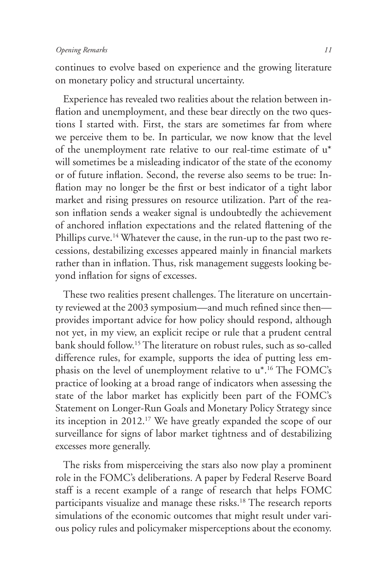continues to evolve based on experience and the growing literature on monetary policy and structural uncertainty.

Experience has revealed two realities about the relation between inflation and unemployment, and these bear directly on the two questions I started with. First, the stars are sometimes far from where we perceive them to be. In particular, we now know that the level of the unemployment rate relative to our real-time estimate of u\* will sometimes be a misleading indicator of the state of the economy or of future inflation. Second, the reverse also seems to be true: Inflation may no longer be the first or best indicator of a tight labor market and rising pressures on resource utilization. Part of the reason inflation sends a weaker signal is undoubtedly the achievement of anchored inflation expectations and the related flattening of the Phillips curve.<sup>14</sup> Whatever the cause, in the run-up to the past two recessions, destabilizing excesses appeared mainly in financial markets rather than in inflation. Thus, risk management suggests looking beyond inflation for signs of excesses.

These two realities present challenges. The literature on uncertainty reviewed at the 2003 symposium—and much refined since then provides important advice for how policy should respond, although not yet, in my view, an explicit recipe or rule that a prudent central bank should follow.15 The literature on robust rules, such as so-called difference rules, for example, supports the idea of putting less emphasis on the level of unemployment relative to u\*.16 The FOMC's practice of looking at a broad range of indicators when assessing the state of the labor market has explicitly been part of the FOMC's Statement on Longer-Run Goals and Monetary Policy Strategy since its inception in 2012.17 We have greatly expanded the scope of our surveillance for signs of labor market tightness and of destabilizing excesses more generally.

The risks from misperceiving the stars also now play a prominent role in the FOMC's deliberations. A paper by Federal Reserve Board staff is a recent example of a range of research that helps FOMC participants visualize and manage these risks.<sup>18</sup> The research reports simulations of the economic outcomes that might result under various policy rules and policymaker misperceptions about the economy.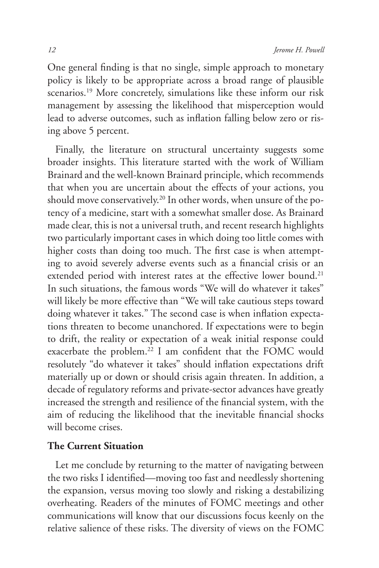One general finding is that no single, simple approach to monetary policy is likely to be appropriate across a broad range of plausible scenarios.<sup>19</sup> More concretely, simulations like these inform our risk management by assessing the likelihood that misperception would lead to adverse outcomes, such as inflation falling below zero or rising above 5 percent.

Finally, the literature on structural uncertainty suggests some broader insights. This literature started with the work of William Brainard and the well-known Brainard principle, which recommends that when you are uncertain about the effects of your actions, you should move conservatively.<sup>20</sup> In other words, when unsure of the potency of a medicine, start with a somewhat smaller dose. As Brainard made clear, this is not a universal truth, and recent research highlights two particularly important cases in which doing too little comes with higher costs than doing too much. The first case is when attempting to avoid severely adverse events such as a financial crisis or an extended period with interest rates at the effective lower bound.<sup>21</sup> In such situations, the famous words "We will do whatever it takes" will likely be more effective than "We will take cautious steps toward doing whatever it takes." The second case is when inflation expectations threaten to become unanchored. If expectations were to begin to drift, the reality or expectation of a weak initial response could exacerbate the problem.<sup>22</sup> I am confident that the FOMC would resolutely "do whatever it takes" should inflation expectations drift materially up or down or should crisis again threaten. In addition, a decade of regulatory reforms and private-sector advances have greatly increased the strength and resilience of the financial system, with the aim of reducing the likelihood that the inevitable financial shocks will become crises.

#### **The Current Situation**

Let me conclude by returning to the matter of navigating between the two risks I identified—moving too fast and needlessly shortening the expansion, versus moving too slowly and risking a destabilizing overheating. Readers of the minutes of FOMC meetings and other communications will know that our discussions focus keenly on the relative salience of these risks. The diversity of views on the FOMC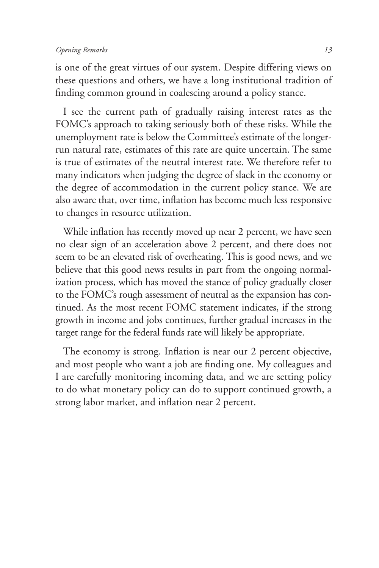is one of the great virtues of our system. Despite differing views on these questions and others, we have a long institutional tradition of finding common ground in coalescing around a policy stance.

I see the current path of gradually raising interest rates as the FOMC's approach to taking seriously both of these risks. While the unemployment rate is below the Committee's estimate of the longerrun natural rate, estimates of this rate are quite uncertain. The same is true of estimates of the neutral interest rate. We therefore refer to many indicators when judging the degree of slack in the economy or the degree of accommodation in the current policy stance. We are also aware that, over time, inflation has become much less responsive to changes in resource utilization.

While inflation has recently moved up near 2 percent, we have seen no clear sign of an acceleration above 2 percent, and there does not seem to be an elevated risk of overheating. This is good news, and we believe that this good news results in part from the ongoing normalization process, which has moved the stance of policy gradually closer to the FOMC's rough assessment of neutral as the expansion has continued. As the most recent FOMC statement indicates, if the strong growth in income and jobs continues, further gradual increases in the target range for the federal funds rate will likely be appropriate.

The economy is strong. Inflation is near our 2 percent objective, and most people who want a job are finding one. My colleagues and I are carefully monitoring incoming data, and we are setting policy to do what monetary policy can do to support continued growth, a strong labor market, and inflation near 2 percent.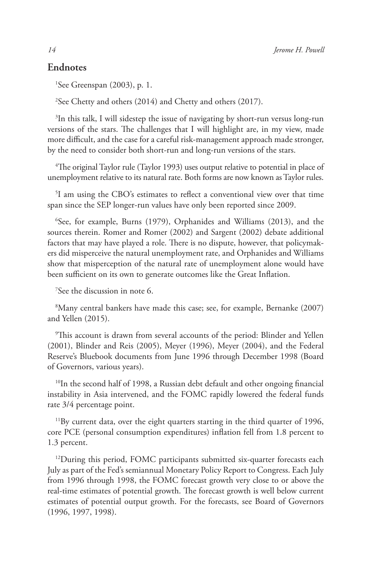#### **Endnotes**

1 See Greenspan (2003), p. 1.

2 See Chetty and others (2014) and Chetty and others (2017).

<sup>3</sup>In this talk, I will sidestep the issue of navigating by short-run versus long-run versions of the stars. The challenges that I will highlight are, in my view, made more difficult, and the case for a careful risk-management approach made stronger, by the need to consider both short-run and long-run versions of the stars.

 $\mathrm{^4}$ The original Taylor rule (Taylor 1993) uses output relative to potential in place of unemployment relative to its natural rate. Both forms are now known as Taylor rules.

5 I am using the CBO's estimates to reflect a conventional view over that time span since the SEP longer-run values have only been reported since 2009.

6 See, for example, Burns (1979), Orphanides and Williams (2013), and the sources therein. Romer and Romer (2002) and Sargent (2002) debate additional factors that may have played a role. There is no dispute, however, that policymakers did misperceive the natural unemployment rate, and Orphanides and Williams show that misperception of the natural rate of unemployment alone would have been sufficient on its own to generate outcomes like the Great Inflation.

7 See the discussion in note 6.

8 Many central bankers have made this case; see, for example, Bernanke (2007) and Yellen (2015).

9 This account is drawn from several accounts of the period: Blinder and Yellen (2001), Blinder and Reis (2005), Meyer (1996), Meyer (2004), and the Federal Reserve's Bluebook documents from June 1996 through December 1998 (Board of Governors, various years).

<sup>10</sup>In the second half of 1998, a Russian debt default and other ongoing financial instability in Asia intervened, and the FOMC rapidly lowered the federal funds rate 3/4 percentage point.

<sup>11</sup>By current data, over the eight quarters starting in the third quarter of 1996, core PCE (personal consumption expenditures) inflation fell from 1.8 percent to 1.3 percent.

<sup>12</sup>During this period, FOMC participants submitted six-quarter forecasts each July as part of the Fed's semiannual Monetary Policy Report to Congress. Each July from 1996 through 1998, the FOMC forecast growth very close to or above the real-time estimates of potential growth. The forecast growth is well below current estimates of potential output growth. For the forecasts, see Board of Governors (1996, 1997, 1998).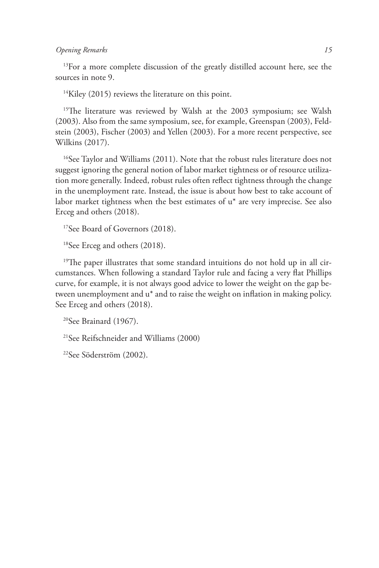#### *Opening Remarks 15*

<sup>13</sup>For a more complete discussion of the greatly distilled account here, see the sources in note 9.

 $14$ Kiley (2015) reviews the literature on this point.

<sup>15</sup>The literature was reviewed by Walsh at the 2003 symposium; see Walsh (2003). Also from the same symposium, see, for example, Greenspan (2003), Feldstein (2003), Fischer (2003) and Yellen (2003). For a more recent perspective, see Wilkins (2017).

<sup>16</sup>See Taylor and Williams (2011). Note that the robust rules literature does not suggest ignoring the general notion of labor market tightness or of resource utilization more generally. Indeed, robust rules often reflect tightness through the change in the unemployment rate. Instead, the issue is about how best to take account of labor market tightness when the best estimates of u\* are very imprecise. See also Erceg and others (2018).

<sup>17</sup>See Board of Governors (2018).

18See Erceg and others (2018).

<sup>19</sup>The paper illustrates that some standard intuitions do not hold up in all circumstances. When following a standard Taylor rule and facing a very flat Phillips curve, for example, it is not always good advice to lower the weight on the gap between unemployment and u\* and to raise the weight on inflation in making policy. See Erceg and others (2018).

20See Brainard (1967).

21See Reifschneider and Williams (2000)

22See Söderström (2002).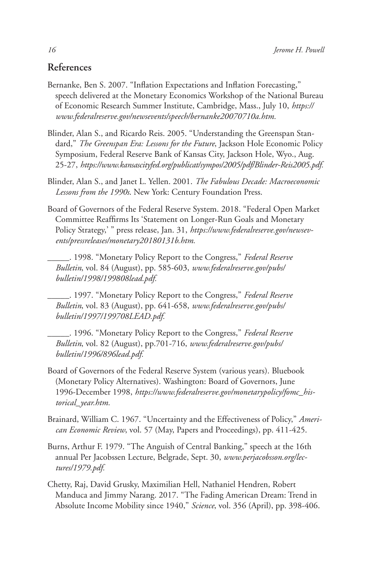#### **References**

- Bernanke, Ben S. 2007. "Inflation Expectations and Inflation Forecasting," speech delivered at the Monetary Economics Workshop of the National Bureau of Economic Research Summer Institute, Cambridge, Mass., July 10, *https:// www.federalreserve.gov/newsevents/speech/bernanke20070710a.htm.*
- Blinder, Alan S., and Ricardo Reis. 2005. "Understanding the Greenspan Standard," *The Greenspan Era: Lessons for the Future*, Jackson Hole Economic Policy Symposium, Federal Reserve Bank of Kansas City, Jackson Hole, Wyo., Aug. 25-27, *https://www.kansascityfed.org/publicat/sympos/2005/pdf/Blinder-Reis2005.pdf.*
- Blinder, Alan S., and Janet L. Yellen. 2001. *The Fabulous Decade: Macroeconomic Lessons from the 1990s*. New York: Century Foundation Press.
- Board of Governors of the Federal Reserve System. 2018. "Federal Open Market Committee Reaffirms Its 'Statement on Longer-Run Goals and Monetary Policy Strategy,' " press release, Jan. 31, *https://www.federalreserve.gov/newsevents/pressreleases/monetary20180131b.htm.* 
	- \_\_\_\_\_. 1998. "Monetary Policy Report to the Congress," *Federal Reserve Bulletin*, vol. 84 (August), pp. 585-603, *www.federalreserve.gov/pubs/ bulletin/1998/199808lead.pdf.*
	- \_\_\_\_\_. 1997. "Monetary Policy Report to the Congress," *Federal Reserve Bulletin*, vol. 83 (August), pp. 641-658, *www.federalreserve.gov/pubs/ bulletin/1997/199708LEAD.pdf.*
	- \_\_\_\_\_. 1996. "Monetary Policy Report to the Congress," *Federal Reserve Bulletin*, vol. 82 (August), pp.701-716, *www.federalreserve.gov/pubs/ bulletin/1996/896lead.pdf.*
- Board of Governors of the Federal Reserve System (various years). Bluebook (Monetary Policy Alternatives). Washington: Board of Governors, June 1996-December 1998, *https://www.federalreserve.gov/monetarypolicy/fomc\_historical\_year.htm.*
- Brainard, William C. 1967. "Uncertainty and the Effectiveness of Policy," *American Economic Review*, vol. 57 (May, Papers and Proceedings), pp. 411-425.
- Burns, Arthur F. 1979. "The Anguish of Central Banking," speech at the 16th annual Per Jacobssen Lecture, Belgrade, Sept. 30, *www.perjacobsson.org/lectures/1979.pdf.*
- Chetty, Raj, David Grusky, Maximilian Hell, Nathaniel Hendren, Robert Manduca and Jimmy Narang. 2017. "The Fading American Dream: Trend in Absolute Income Mobility since 1940," *Science*, vol. 356 (April), pp. 398-406.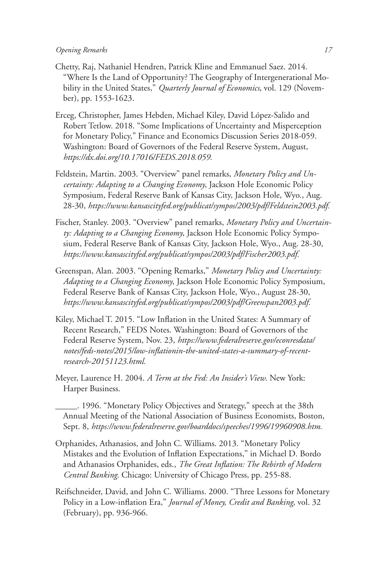#### *Opening Remarks 17*

- Chetty, Raj, Nathaniel Hendren, Patrick Kline and Emmanuel Saez. 2014. "Where Is the Land of Opportunity? The Geography of Intergenerational Mobility in the United States," *Quarterly Journal of Economics*, vol. 129 (November), pp. 1553-1623.
- Erceg, Christopher, James Hebden, Michael Kiley, David López-Salido and Robert Tetlow. 2018. "Some Implications of Uncertainty and Misperception for Monetary Policy," Finance and Economics Discussion Series 2018-059. Washington: Board of Governors of the Federal Reserve System, August, *https://dx.doi.org/10.17016/FEDS.2018.059.*
- Feldstein, Martin. 2003. "Overview" panel remarks, *Monetary Policy and Uncertainty: Adapting to a Changing Economy*, Jackson Hole Economic Policy Symposium, Federal Reserve Bank of Kansas City, Jackson Hole, Wyo., Aug. 28-30, *https://www.kansascityfed.org/publicat/sympos/2003/pdf/Feldstein2003.pdf.*
- Fischer, Stanley. 2003. "Overview" panel remarks, *Monetary Policy and Uncertainty: Adapting to a Changing Economy*, Jackson Hole Economic Policy Symposium, Federal Reserve Bank of Kansas City, Jackson Hole, Wyo., Aug. 28-30, *https://www.kansascityfed.org/publicat/sympos/2003/pdf/Fischer2003.pdf.*
- Greenspan, Alan. 2003. "Opening Remarks," *Monetary Policy and Uncertainty: Adapting to a Changing Economy*, Jackson Hole Economic Policy Symposium, Federal Reserve Bank of Kansas City, Jackson Hole, Wyo., August 28-30, *https://www.kansascityfed.org/publicat/sympos/2003/pdf/Greenspan2003.pdf.*
- Kiley, Michael T. 2015. "Low Inflation in the United States: A Summary of Recent Research," FEDS Notes. Washington: Board of Governors of the Federal Reserve System, Nov. 23, *https://www.federalreserve.gov/econresdata/ notes/feds-notes/2015/low-inflationin-the-united-states-a-summary-of-recentresearch-20151123.html.*
- Meyer, Laurence H. 2004. *A Term at the Fed: An Insider's View*. New York: Harper Business.
	- \_\_\_\_\_. 1996. "Monetary Policy Objectives and Strategy," speech at the 38th Annual Meeting of the National Association of Business Economists, Boston, Sept. 8, *https://www.federalreserve.gov/boarddocs/speeches/1996/19960908.htm.*
- Orphanides, Athanasios, and John C. Williams. 2013. "Monetary Policy Mistakes and the Evolution of Inflation Expectations," in Michael D. Bordo and Athanasios Orphanides, eds., *The Great Inflation: The Rebirth of Modern Central Banking*. Chicago: University of Chicago Press, pp. 255-88.
- Reifschneider, David, and John C. Williams. 2000. "Three Lessons for Monetary Policy in a Low-inflation Era," *Journal of Money, Credit and Banking*, vol. 32 (February), pp. 936-966.